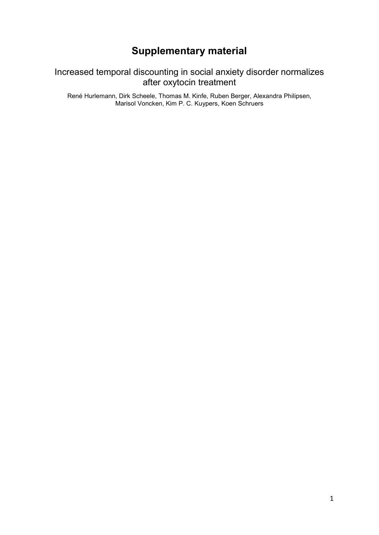# **Supplementary material**

## Increased temporal discounting in social anxiety disorder normalizes after oxytocin treatment

René Hurlemann, Dirk Scheele, Thomas M. Kinfe, Ruben Berger, Alexandra Philipsen, Marisol Voncken, Kim P. C. Kuypers, Koen Schruers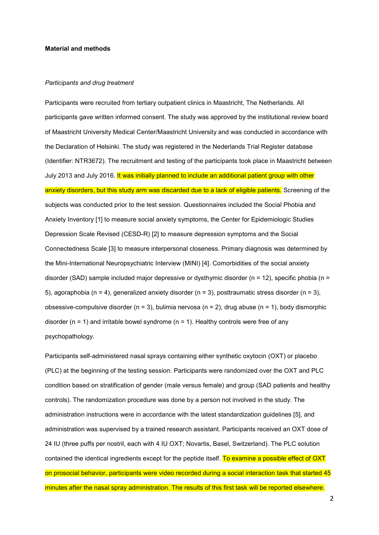#### **Material and methods**

### *Participants and drug treatment*

Participants were recruited from tertiary outpatient clinics in Maastricht, The Netherlands. All participants gave written informed consent. The study was approved by the institutional review board of Maastricht University Medical Center/Maastricht University and was conducted in accordance with the Declaration of Helsinki. The study was registered in the Nederlands Trial Register database (Identifier: NTR3672). The recruitment and testing of the participants took place in Maastricht between July 2013 and July 2016. It was initially planned to include an additional patient group with other anxiety disorders, but this study arm was discarded due to a lack of eligible patients. Screening of the subjects was conducted prior to the test session. Questionnaires included the Social Phobia and Anxiety Inventory [1] to measure social anxiety symptoms, the Center for Epidemiologic Studies Depression Scale Revised (CESD-R) [2] to measure depression symptoms and the Social Connectedness Scale [3] to measure interpersonal closeness. Primary diagnosis was determined by the Mini-International Neuropsychiatric Interview (MINI) [4]. Comorbidities of the social anxiety disorder (SAD) sample included major depressive or dysthymic disorder (n = 12), specific phobia (n = 5), agoraphobia (n = 4), generalized anxiety disorder (n = 3), posttraumatic stress disorder (n = 3), obsessive-compulsive disorder ( $n = 3$ ), bulimia nervosa ( $n = 2$ ), drug abuse ( $n = 1$ ), body dismorphic disorder ( $n = 1$ ) and irritable bowel syndrome ( $n = 1$ ). Healthy controls were free of any psychopathology.

Participants self-administered nasal sprays containing either synthetic oxytocin (OXT) or placebo (PLC) at the beginning of the testing session. Participants were randomized over the OXT and PLC condition based on stratification of gender (male versus female) and group (SAD patients and healthy controls). The randomization procedure was done by a person not involved in the study. The administration instructions were in accordance with the latest standardization guidelines [5], and administration was supervised by a trained research assistant. Participants received an OXT dose of 24 IU (three puffs per nostril, each with 4 IU OXT; Novartis, Basel, Switzerland). The PLC solution contained the identical ingredients except for the peptide itself. To examine a possible effect of OXT on prosocial behavior, participants were video recorded during a social interaction task that started 45 minutes after the nasal spray administration. The results of this first task will be reported elsewhere.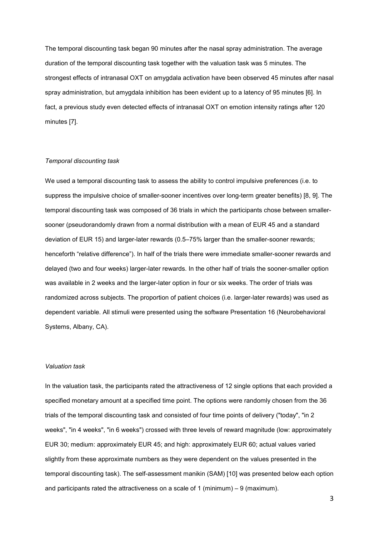The temporal discounting task began 90 minutes after the nasal spray administration. The average duration of the temporal discounting task together with the valuation task was 5 minutes. The strongest effects of intranasal OXT on amygdala activation have been observed 45 minutes after nasal spray administration, but amygdala inhibition has been evident up to a latency of 95 minutes [6]. In fact, a previous study even detected effects of intranasal OXT on emotion intensity ratings after 120 minutes [7].

#### *Temporal discounting task*

We used a temporal discounting task to assess the ability to control impulsive preferences (i.e. to suppress the impulsive choice of smaller-sooner incentives over long-term greater benefits) [8, 9]. The temporal discounting task was composed of 36 trials in which the participants chose between smallersooner (pseudorandomly drawn from a normal distribution with a mean of EUR 45 and a standard deviation of EUR 15) and larger-later rewards (0.5–75% larger than the smaller-sooner rewards; henceforth "relative difference"). In half of the trials there were immediate smaller-sooner rewards and delayed (two and four weeks) larger-later rewards. In the other half of trials the sooner-smaller option was available in 2 weeks and the larger-later option in four or six weeks. The order of trials was randomized across subjects. The proportion of patient choices (i.e. larger-later rewards) was used as dependent variable. All stimuli were presented using the software Presentation 16 (Neurobehavioral Systems, Albany, CA).

#### *Valuation task*

In the valuation task, the participants rated the attractiveness of 12 single options that each provided a specified monetary amount at a specified time point. The options were randomly chosen from the 36 trials of the temporal discounting task and consisted of four time points of delivery ("today", "in 2 weeks", "in 4 weeks", "in 6 weeks") crossed with three levels of reward magnitude (low: approximately EUR 30; medium: approximately EUR 45; and high: approximately EUR 60; actual values varied slightly from these approximate numbers as they were dependent on the values presented in the temporal discounting task). The self-assessment manikin (SAM) [10] was presented below each option and participants rated the attractiveness on a scale of 1 (minimum) – 9 (maximum).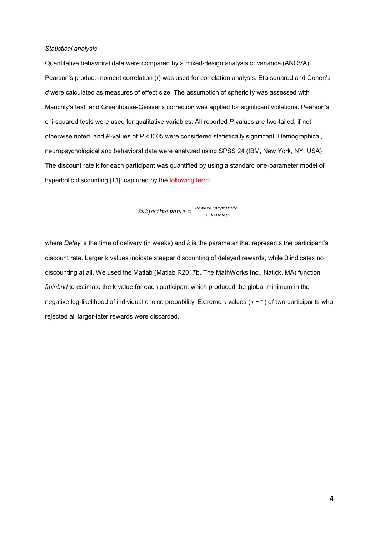#### *Statistical analysis*

Quantitative behavioral data were compared by a mixed-design analysis of variance (ANOVA). Pearson's product-moment correlation (*r*) was used for correlation analysis. Eta-squared and Cohen's *d* were calculated as measures of effect size. The assumption of sphericity was assessed with Mauchly's test, and Greenhouse-Geisser's correction was applied for significant violations. Pearson's chi-squared tests were used for qualitative variables. All reported *P*-values are two-tailed, if not otherwise noted, and *P*-values of *P* < 0.05 were considered statistically significant. Demographical, neuropsychological and behavioral data were analyzed using SPSS 24 (IBM, New York, NY, USA). The discount rate k for each participant was quantified by using a standard one-parameter model of hyperbolic discounting [11], captured by the following term:

Subjective value =  $\frac{Reward\ magnitude}{1+k * Delay}$ ,

where *Delay* is the time of delivery (in weeks) and *k* is the parameter that represents the participant's discount rate. Larger k values indicate steeper discounting of delayed rewards, while 0 indicates no discounting at all. We used the Matlab (Matlab R2017b, The MathWorks Inc., Natick, MA) function *fminbnd* to estimate the k value for each participant which produced the global minimum in the negative log-likelihood of individual choice probability. Extreme k values ( $k \sim 1$ ) of two participants who rejected all larger-later rewards were discarded.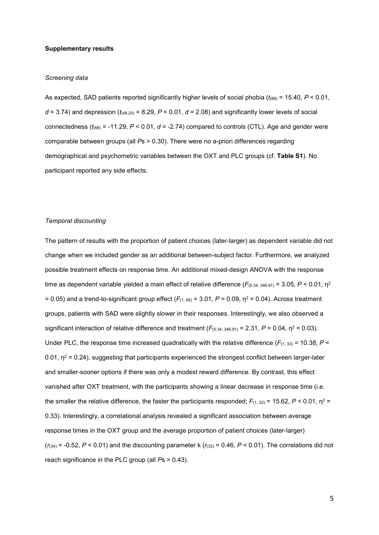#### **Supplementary results**

#### *Screening data*

As expected, SAD patients reported significantly higher levels of social phobia (*t*(68) = 15.40, *P* < 0.01,  $d = 3.74$ ) and depression ( $t_{(48.20)} = 8.29$ ,  $P < 0.01$ ,  $d = 2.08$ ) and significantly lower levels of social connectedness ( $t_{(68)}$  = -11.29,  $P < 0.01$ ,  $d = -2.74$ ) compared to controls (CTL). Age and gender were comparable between groups (all *P*s > 0.30). There were no a-priori differences regarding demographical and psychometric variables between the OXT and PLC groups (cf. **Table S1**). No participant reported any side effects.

#### *Temporal discounting*

The pattern of results with the proportion of patient choices (later-larger) as dependent variable did not change when we included gender as an additional between-subject factor. Furthermore, we analyzed possible treatment effects on response time. An additional mixed-design ANOVA with the response time as dependent variable yielded a main effect of relative difference  $(F_{(5.34, 346.91)} = 3.05, P < 0.01, \eta^2$  $= 0.05$ ) and a trend-to-significant group effect ( $F_{(1, 65)} = 3.01$ ,  $P = 0.09$ ,  $p^2 = 0.04$ ). Across treatment groups, patients with SAD were slightly slower in their responses. Interestingly, we also observed a significant interaction of relative difference and treatment  $(F_{(5.34, 346.91)} = 2.31, P = 0.04, \eta^2 = 0.03)$ . Under PLC, the response time increased quadratically with the relative difference  $(F_{(1, 33)} = 10.38, P <$ 0.01,  $\eta^2$  = 0.24), suggesting that participants experienced the strongest conflict between larger-later and smaller-sooner options if there was only a modest reward difference. By contrast, this effect vanished after OXT treatment, with the participants showing a linear decrease in response time (i.e. the smaller the relative difference, the faster the participants responded;  $F_{(1, 32)}$  = 15.62,  $P < 0.01$ ,  $\eta^2$  = 0.33). Interestingly, a correlational analysis revealed a significant association between average response times in the OXT group and the average proportion of patient choices (later-larger)  $(r<sub>(34)</sub>)$  = -0.52, *P* < 0.01) and the discounting parameter k ( $r<sub>(33)</sub>$  = 0.46, *P* < 0.01). The correlations did not reach significance in the PLC group (all *P*s > 0.43).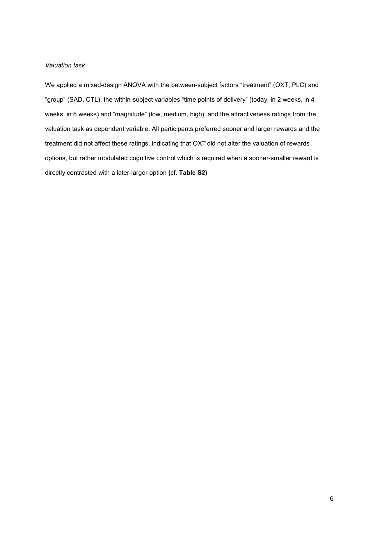### *Valuation task*

We applied a mixed-design ANOVA with the between-subject factors "treatment" (OXT, PLC) and "group" (SAD, CTL), the within-subject variables "time points of delivery" (today, in 2 weeks, in 4 weeks, in 6 weeks) and "magnitude" (low, medium, high), and the attractiveness ratings from the valuation task as dependent variable. All participants preferred sooner and larger rewards and the treatment did not affect these ratings, indicating that OXT did not alter the valuation of rewards options, but rather modulated cognitive control which is required when a sooner-smaller reward is directly contrasted with a later-larger option **(**cf. **Table S2)**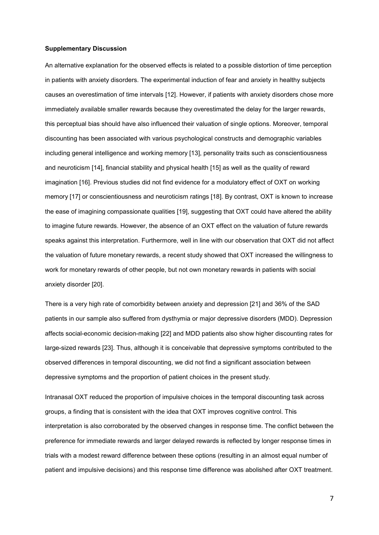#### **Supplementary Discussion**

An alternative explanation for the observed effects is related to a possible distortion of time perception in patients with anxiety disorders. The experimental induction of fear and anxiety in healthy subjects causes an overestimation of time intervals [12]. However, if patients with anxiety disorders chose more immediately available smaller rewards because they overestimated the delay for the larger rewards, this perceptual bias should have also influenced their valuation of single options. Moreover, temporal discounting has been associated with various psychological constructs and demographic variables including general intelligence and working memory [13], personality traits such as conscientiousness and neuroticism [14], financial stability and physical health [15] as well as the quality of reward imagination [16]. Previous studies did not find evidence for a modulatory effect of OXT on working memory [17] or conscientiousness and neuroticism ratings [18]. By contrast, OXT is known to increase the ease of imagining compassionate qualities [19], suggesting that OXT could have altered the ability to imagine future rewards. However, the absence of an OXT effect on the valuation of future rewards speaks against this interpretation. Furthermore, well in line with our observation that OXT did not affect the valuation of future monetary rewards, a recent study showed that OXT increased the willingness to work for monetary rewards of other people, but not own monetary rewards in patients with social anxiety disorder [20].

There is a very high rate of comorbidity between anxiety and depression [21] and 36% of the SAD patients in our sample also suffered from dysthymia or major depressive disorders (MDD). Depression affects social-economic decision-making [22] and MDD patients also show higher discounting rates for large-sized rewards [23]. Thus, although it is conceivable that depressive symptoms contributed to the observed differences in temporal discounting, we did not find a significant association between depressive symptoms and the proportion of patient choices in the present study.

Intranasal OXT reduced the proportion of impulsive choices in the temporal discounting task across groups, a finding that is consistent with the idea that OXT improves cognitive control. This interpretation is also corroborated by the observed changes in response time. The conflict between the preference for immediate rewards and larger delayed rewards is reflected by longer response times in trials with a modest reward difference between these options (resulting in an almost equal number of patient and impulsive decisions) and this response time difference was abolished after OXT treatment.

7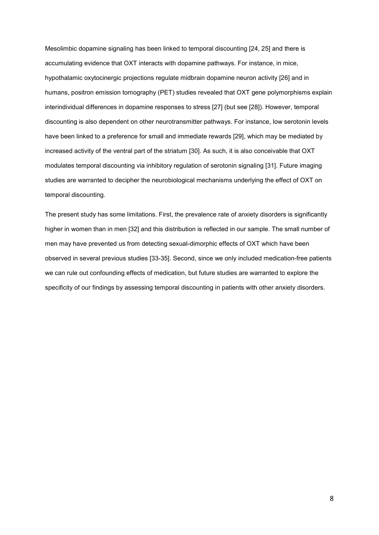Mesolimbic dopamine signaling has been linked to temporal discounting [24, 25] and there is accumulating evidence that OXT interacts with dopamine pathways. For instance, in mice, hypothalamic oxytocinergic projections regulate midbrain dopamine neuron activity [26] and in humans, positron emission tomography (PET) studies revealed that OXT gene polymorphisms explain interindividual differences in dopamine responses to stress [27] (but see [28]). However, temporal discounting is also dependent on other neurotransmitter pathways. For instance, low serotonin levels have been linked to a preference for small and immediate rewards [29], which may be mediated by increased activity of the ventral part of the striatum [30]. As such, it is also conceivable that OXT modulates temporal discounting via inhibitory regulation of serotonin signaling [31]. Future imaging studies are warranted to decipher the neurobiological mechanisms underlying the effect of OXT on temporal discounting.

The present study has some limitations. First, the prevalence rate of anxiety disorders is significantly higher in women than in men [32] and this distribution is reflected in our sample. The small number of men may have prevented us from detecting sexual-dimorphic effects of OXT which have been observed in several previous studies [33-35]. Second, since we only included medication-free patients we can rule out confounding effects of medication, but future studies are warranted to explore the specificity of our findings by assessing temporal discounting in patients with other anxiety disorders.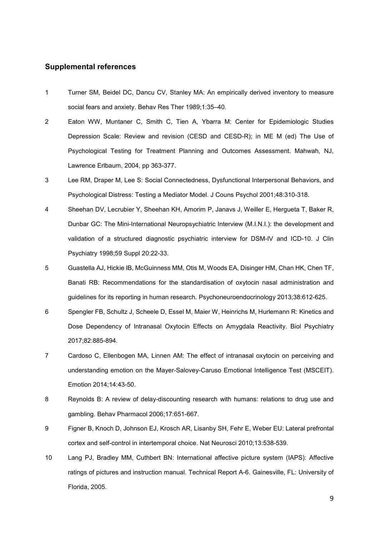## **Supplemental references**

- 1 Turner SM, Beidel DC, Dancu CV, Stanley MA: An empirically derived inventory to measure social fears and anxiety. Behav Res Ther 1989;1:35–40.
- 2 Eaton WW, Muntaner C, Smith C, Tien A, Ybarra M: Center for Epidemiologic Studies Depression Scale: Review and revision (CESD and CESD-R); in ME M (ed) The Use of Psychological Testing for Treatment Planning and Outcomes Assessment. Mahwah, NJ, Lawrence Erlbaum, 2004, pp 363-377.
- 3 Lee RM, Draper M, Lee S: Social Connectedness, Dysfunctional Interpersonal Behaviors, and Psychological Distress: Testing a Mediator Model. J Couns Psychol 2001;48:310-318.
- 4 Sheehan DV, Lecrubier Y, Sheehan KH, Amorim P, Janavs J, Weiller E, Hergueta T, Baker R, Dunbar GC: The Mini-International Neuropsychiatric Interview (M.I.N.I.): the development and validation of a structured diagnostic psychiatric interview for DSM-IV and ICD-10. J Clin Psychiatry 1998;59 Suppl 20:22-33.
- 5 Guastella AJ, Hickie IB, McGuinness MM, Otis M, Woods EA, Disinger HM, Chan HK, Chen TF, Banati RB: Recommendations for the standardisation of oxytocin nasal administration and guidelines for its reporting in human research. Psychoneuroendocrinology 2013;38:612-625.
- 6 Spengler FB, Schultz J, Scheele D, Essel M, Maier W, Heinrichs M, Hurlemann R: Kinetics and Dose Dependency of Intranasal Oxytocin Effects on Amygdala Reactivity. Biol Psychiatry 2017;82:885-894.
- 7 Cardoso C, Ellenbogen MA, Linnen AM: The effect of intranasal oxytocin on perceiving and understanding emotion on the Mayer-Salovey-Caruso Emotional Intelligence Test (MSCEIT). Emotion 2014;14:43-50.
- 8 Reynolds B: A review of delay-discounting research with humans: relations to drug use and gambling. Behav Pharmacol 2006;17:651-667.
- 9 Figner B, Knoch D, Johnson EJ, Krosch AR, Lisanby SH, Fehr E, Weber EU: Lateral prefrontal cortex and self-control in intertemporal choice. Nat Neurosci 2010;13:538-539.
- 10 Lang PJ, Bradley MM, Cuthbert BN: International affective picture system (IAPS): Affective ratings of pictures and instruction manual. Technical Report A-6. Gainesville, FL: University of Florida, 2005.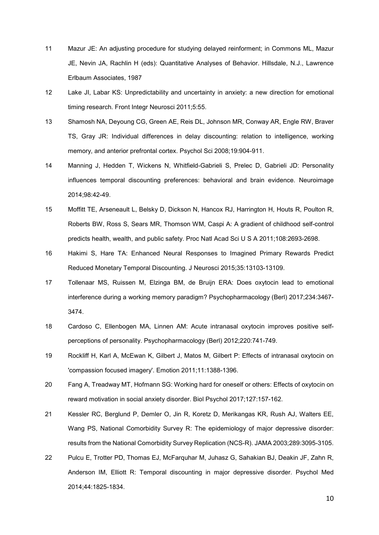- 11 Mazur JE: An adjusting procedure for studying delayed reinforment; in Commons ML, Mazur JE, Nevin JA, Rachlin H (eds): Quantitative Analyses of Behavior. Hillsdale, N.J., Lawrence Erlbaum Associates, 1987
- 12 Lake JI, Labar KS: Unpredictability and uncertainty in anxiety: a new direction for emotional timing research. Front Integr Neurosci 2011;5:55.
- 13 Shamosh NA, Deyoung CG, Green AE, Reis DL, Johnson MR, Conway AR, Engle RW, Braver TS, Gray JR: Individual differences in delay discounting: relation to intelligence, working memory, and anterior prefrontal cortex. Psychol Sci 2008;19:904-911.
- 14 Manning J, Hedden T, Wickens N, Whitfield-Gabrieli S, Prelec D, Gabrieli JD: Personality influences temporal discounting preferences: behavioral and brain evidence. Neuroimage 2014;98:42-49.
- 15 Moffitt TE, Arseneault L, Belsky D, Dickson N, Hancox RJ, Harrington H, Houts R, Poulton R, Roberts BW, Ross S, Sears MR, Thomson WM, Caspi A: A gradient of childhood self-control predicts health, wealth, and public safety. Proc Natl Acad Sci U S A 2011;108:2693-2698.
- 16 Hakimi S, Hare TA: Enhanced Neural Responses to Imagined Primary Rewards Predict Reduced Monetary Temporal Discounting. J Neurosci 2015;35:13103-13109.
- 17 Tollenaar MS, Ruissen M, Elzinga BM, de Bruijn ERA: Does oxytocin lead to emotional interference during a working memory paradigm? Psychopharmacology (Berl) 2017;234:3467- 3474.
- 18 Cardoso C, Ellenbogen MA, Linnen AM: Acute intranasal oxytocin improves positive selfperceptions of personality. Psychopharmacology (Berl) 2012;220:741-749.
- 19 Rockliff H, Karl A, McEwan K, Gilbert J, Matos M, Gilbert P: Effects of intranasal oxytocin on 'compassion focused imagery'. Emotion 2011;11:1388-1396.
- 20 Fang A, Treadway MT, Hofmann SG: Working hard for oneself or others: Effects of oxytocin on reward motivation in social anxiety disorder. Biol Psychol 2017;127:157-162.
- 21 Kessler RC, Berglund P, Demler O, Jin R, Koretz D, Merikangas KR, Rush AJ, Walters EE, Wang PS, National Comorbidity Survey R: The epidemiology of major depressive disorder: results from the National Comorbidity Survey Replication (NCS-R). JAMA 2003;289:3095-3105.
- 22 Pulcu E, Trotter PD, Thomas EJ, McFarquhar M, Juhasz G, Sahakian BJ, Deakin JF, Zahn R, Anderson IM, Elliott R: Temporal discounting in major depressive disorder. Psychol Med 2014;44:1825-1834.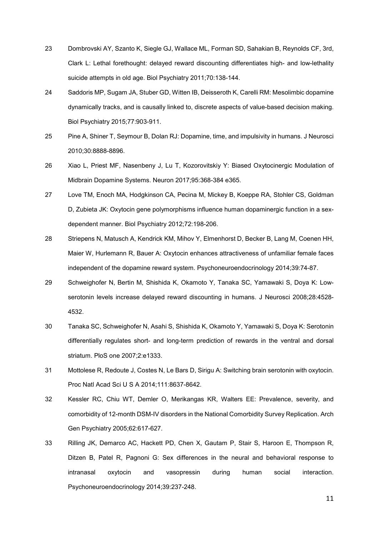- 23 Dombrovski AY, Szanto K, Siegle GJ, Wallace ML, Forman SD, Sahakian B, Reynolds CF, 3rd, Clark L: Lethal forethought: delayed reward discounting differentiates high- and low-lethality suicide attempts in old age. Biol Psychiatry 2011;70:138-144.
- 24 Saddoris MP, Sugam JA, Stuber GD, Witten IB, Deisseroth K, Carelli RM: Mesolimbic dopamine dynamically tracks, and is causally linked to, discrete aspects of value-based decision making. Biol Psychiatry 2015;77:903-911.
- 25 Pine A, Shiner T, Seymour B, Dolan RJ: Dopamine, time, and impulsivity in humans. J Neurosci 2010;30:8888-8896.
- 26 Xiao L, Priest MF, Nasenbeny J, Lu T, Kozorovitskiy Y: Biased Oxytocinergic Modulation of Midbrain Dopamine Systems. Neuron 2017;95:368-384 e365.
- 27 Love TM, Enoch MA, Hodgkinson CA, Pecina M, Mickey B, Koeppe RA, Stohler CS, Goldman D, Zubieta JK: Oxytocin gene polymorphisms influence human dopaminergic function in a sexdependent manner. Biol Psychiatry 2012;72:198-206.
- 28 Striepens N, Matusch A, Kendrick KM, Mihov Y, Elmenhorst D, Becker B, Lang M, Coenen HH, Maier W, Hurlemann R, Bauer A: Oxytocin enhances attractiveness of unfamiliar female faces independent of the dopamine reward system. Psychoneuroendocrinology 2014;39:74-87.
- 29 Schweighofer N, Bertin M, Shishida K, Okamoto Y, Tanaka SC, Yamawaki S, Doya K: Lowserotonin levels increase delayed reward discounting in humans. J Neurosci 2008;28:4528- 4532.
- 30 Tanaka SC, Schweighofer N, Asahi S, Shishida K, Okamoto Y, Yamawaki S, Doya K: Serotonin differentially regulates short- and long-term prediction of rewards in the ventral and dorsal striatum. PloS one 2007;2:e1333.
- 31 Mottolese R, Redoute J, Costes N, Le Bars D, Sirigu A: Switching brain serotonin with oxytocin. Proc Natl Acad Sci U S A 2014;111:8637-8642.
- 32 Kessler RC, Chiu WT, Demler O, Merikangas KR, Walters EE: Prevalence, severity, and comorbidity of 12-month DSM-IV disorders in the National Comorbidity Survey Replication. Arch Gen Psychiatry 2005;62:617-627.
- 33 Rilling JK, Demarco AC, Hackett PD, Chen X, Gautam P, Stair S, Haroon E, Thompson R, Ditzen B, Patel R, Pagnoni G: Sex differences in the neural and behavioral response to intranasal oxytocin and vasopressin during human social interaction. Psychoneuroendocrinology 2014;39:237-248.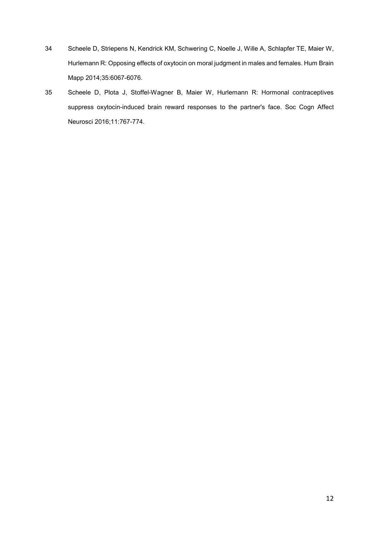- 34 Scheele D, Striepens N, Kendrick KM, Schwering C, Noelle J, Wille A, Schlapfer TE, Maier W, Hurlemann R: Opposing effects of oxytocin on moral judgment in males and females. Hum Brain Mapp 2014;35:6067-6076.
- 35 Scheele D, Plota J, Stoffel-Wagner B, Maier W, Hurlemann R: Hormonal contraceptives suppress oxytocin-induced brain reward responses to the partner's face. Soc Cogn Affect Neurosci 2016;11:767-774.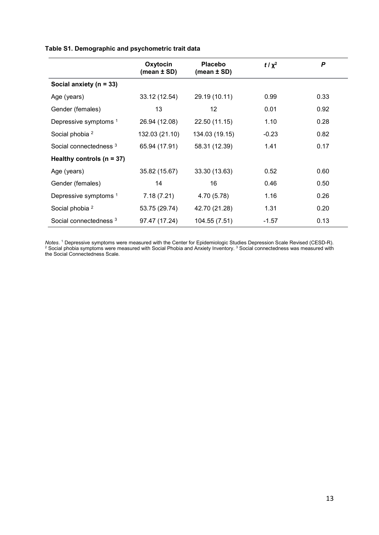## **Table S1. Demographic and psychometric trait data**

|                                   | Oxytocin<br>(mean $\pm$ SD) | <b>Placebo</b><br>(mean $\pm$ SD) | $t/\chi^2$ | $\boldsymbol{P}$ |
|-----------------------------------|-----------------------------|-----------------------------------|------------|------------------|
| Social anxiety ( $n = 33$ )       |                             |                                   |            |                  |
| Age (years)                       | 33.12 (12.54)               | 29.19 (10.11)                     | 0.99       | 0.33             |
| Gender (females)                  | 13                          | 12                                | 0.01       | 0.92             |
| Depressive symptoms <sup>1</sup>  | 26.94 (12.08)               | 22.50 (11.15)                     | 1.10       | 0.28             |
| Social phobia <sup>2</sup>        | 132.03 (21.10)              | 134.03 (19.15)                    | $-0.23$    | 0.82             |
| Social connectedness <sup>3</sup> | 65.94 (17.91)               | 58.31 (12.39)                     | 1.41       | 0.17             |
| Healthy controls ( $n = 37$ )     |                             |                                   |            |                  |
| Age (years)                       | 35.82 (15.67)               | 33.30 (13.63)                     | 0.52       | 0.60             |
| Gender (females)                  | 14                          | 16                                | 0.46       | 0.50             |
| Depressive symptoms <sup>1</sup>  | 7.18(7.21)                  | 4.70 (5.78)                       | 1.16       | 0.26             |
| Social phobia <sup>2</sup>        | 53.75 (29.74)               | 42.70 (21.28)                     | 1.31       | 0.20             |
| Social connectedness <sup>3</sup> | 97.47 (17.24)               | 104.55 (7.51)                     | $-1.57$    | 0.13             |

*Notes*. <sup>1</sup> Depressive symptoms were measured with the Center for Epidemiologic Studies Depression Scale Revised (CESD-R).<br><sup>2</sup> Social phobia symptoms were measured with Social Phobia and Anxiety Inventory. <sup>3</sup> Social conn the Social Connectedness Scale.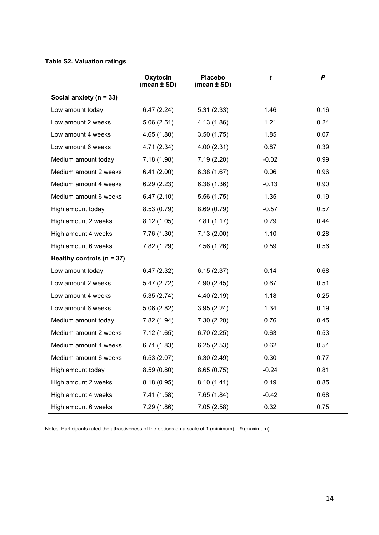## **Table S2. Valuation ratings**

|                               | Oxytocin<br>(mean $\pm$ SD) | <b>Placebo</b><br>(mean $\pm$ SD) | t       | P    |
|-------------------------------|-----------------------------|-----------------------------------|---------|------|
| Social anxiety (n = 33)       |                             |                                   |         |      |
| Low amount today              | 6.47(2.24)                  | 5.31(2.33)                        | 1.46    | 0.16 |
| Low amount 2 weeks            | 5.06(2.51)                  | 4.13 (1.86)                       | 1.21    | 0.24 |
| Low amount 4 weeks            | 4.65(1.80)                  | 3.50(1.75)                        | 1.85    | 0.07 |
| Low amount 6 weeks            | 4.71 (2.34)                 | 4.00(2.31)                        | 0.87    | 0.39 |
| Medium amount today           | 7.18(1.98)                  | 7.19(2.20)                        | $-0.02$ | 0.99 |
| Medium amount 2 weeks         | 6.41(2.00)                  | 6.38(1.67)                        | 0.06    | 0.96 |
| Medium amount 4 weeks         | 6.29(2.23)                  | 6.38(1.36)                        | $-0.13$ | 0.90 |
| Medium amount 6 weeks         | 6.47(2.10)                  | 5.56(1.75)                        | 1.35    | 0.19 |
| High amount today             | 8.53(0.79)                  | 8.69(0.79)                        | $-0.57$ | 0.57 |
| High amount 2 weeks           | 8.12(1.05)                  | 7.81(1.17)                        | 0.79    | 0.44 |
| High amount 4 weeks           | 7.76 (1.30)                 | 7.13(2.00)                        | 1.10    | 0.28 |
| High amount 6 weeks           | 7.82 (1.29)                 | 7.56 (1.26)                       | 0.59    | 0.56 |
| Healthy controls ( $n = 37$ ) |                             |                                   |         |      |
| Low amount today              | 6.47(2.32)                  | 6.15(2.37)                        | 0.14    | 0.68 |
| Low amount 2 weeks            | 5.47(2.72)                  | 4.90(2.45)                        | 0.67    | 0.51 |
| Low amount 4 weeks            | 5.35(2.74)                  | 4.40 (2.19)                       | 1.18    | 0.25 |
| Low amount 6 weeks            | 5.06(2.82)                  | 3.95(2.24)                        | 1.34    | 0.19 |
| Medium amount today           | 7.82 (1.94)                 | 7.30(2.20)                        | 0.76    | 0.45 |
| Medium amount 2 weeks         | 7.12(1.65)                  | 6.70(2.25)                        | 0.63    | 0.53 |
| Medium amount 4 weeks         | 6.71(1.83)                  | 6.25(2.53)                        | 0.62    | 0.54 |
| Medium amount 6 weeks         | 6.53(2.07)                  | 6.30(2.49)                        | 0.30    | 0.77 |
| High amount today             | 8.59(0.80)                  | 8.65(0.75)                        | $-0.24$ | 0.81 |
| High amount 2 weeks           | 8.18(0.95)                  | 8.10(1.41)                        | 0.19    | 0.85 |
| High amount 4 weeks           | 7.41(1.58)                  | 7.65(1.84)                        | $-0.42$ | 0.68 |
| High amount 6 weeks           | 7.29(1.86)                  | 7.05(2.58)                        | 0.32    | 0.75 |

Notes. Participants rated the attractiveness of the options on a scale of 1 (minimum) – 9 (maximum).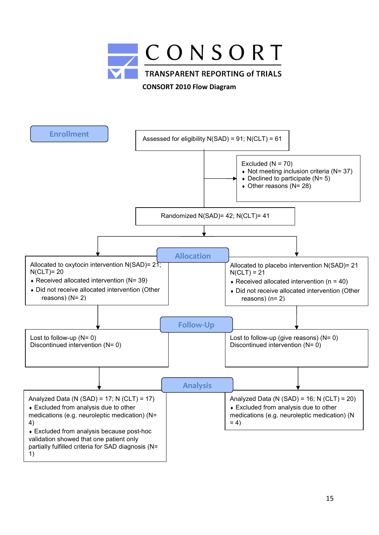

**CONSORT 2010 Flow Diagram**

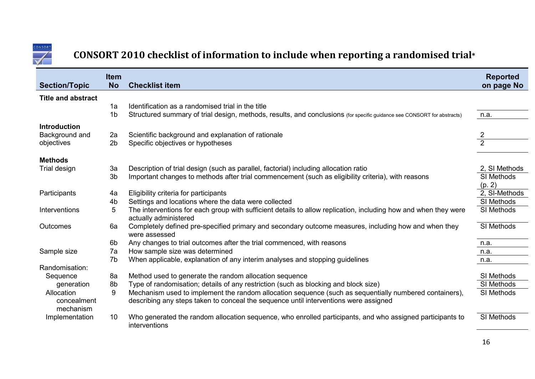

# **CONSORT 2010 checklist of information to include when reporting a randomised trial\***

|                                        | <b>Item</b>          |                                                                                                                                                                                                | <b>Reported</b>             |
|----------------------------------------|----------------------|------------------------------------------------------------------------------------------------------------------------------------------------------------------------------------------------|-----------------------------|
| <b>Section/Topic</b>                   | <b>No</b>            | <b>Checklist item</b>                                                                                                                                                                          | on page No                  |
| <b>Title and abstract</b>              |                      |                                                                                                                                                                                                |                             |
|                                        | 1a                   | Identification as a randomised trial in the title                                                                                                                                              |                             |
|                                        | 1 <sub>b</sub>       | Structured summary of trial design, methods, results, and conclusions (for specific guidance see CONSORT for abstracts)                                                                        | n.a.                        |
| <b>Introduction</b>                    |                      |                                                                                                                                                                                                |                             |
| Background and                         | 2a                   | Scientific background and explanation of rationale                                                                                                                                             |                             |
| objectives                             | 2 <sub>b</sub>       | Specific objectives or hypotheses                                                                                                                                                              |                             |
|                                        |                      |                                                                                                                                                                                                |                             |
| <b>Methods</b>                         |                      |                                                                                                                                                                                                |                             |
| Trial design                           | 3a<br>3 <sub>b</sub> | Description of trial design (such as parallel, factorial) including allocation ratio                                                                                                           | 2, SI Methods<br>SI Methods |
|                                        |                      | Important changes to methods after trial commencement (such as eligibility criteria), with reasons                                                                                             | (p. 2)                      |
| Participants                           | 4a                   | Eligibility criteria for participants                                                                                                                                                          | 2, SI-Methods               |
|                                        | 4b                   | Settings and locations where the data were collected                                                                                                                                           | SI Methods                  |
| Interventions                          | 5                    | The interventions for each group with sufficient details to allow replication, including how and when they were<br>actually administered                                                       | SI Methods                  |
| <b>Outcomes</b>                        | 6a                   | Completely defined pre-specified primary and secondary outcome measures, including how and when they<br>were assessed                                                                          | SI Methods                  |
|                                        | 6b                   | Any changes to trial outcomes after the trial commenced, with reasons                                                                                                                          | n.a.                        |
| Sample size                            | 7a                   | How sample size was determined                                                                                                                                                                 | n.a.                        |
|                                        | 7 <sub>b</sub>       | When applicable, explanation of any interim analyses and stopping guidelines                                                                                                                   | n.a.                        |
| Randomisation:                         |                      |                                                                                                                                                                                                |                             |
| Sequence                               | 8a                   | Method used to generate the random allocation sequence                                                                                                                                         | SI Methods                  |
| generation                             | 8b                   | Type of randomisation; details of any restriction (such as blocking and block size)                                                                                                            | SI Methods                  |
| Allocation<br>concealment<br>mechanism | 9                    | Mechanism used to implement the random allocation sequence (such as sequentially numbered containers),<br>describing any steps taken to conceal the sequence until interventions were assigned | SI Methods                  |
| Implementation                         | 10                   | Who generated the random allocation sequence, who enrolled participants, and who assigned participants to<br>interventions                                                                     | SI Methods                  |